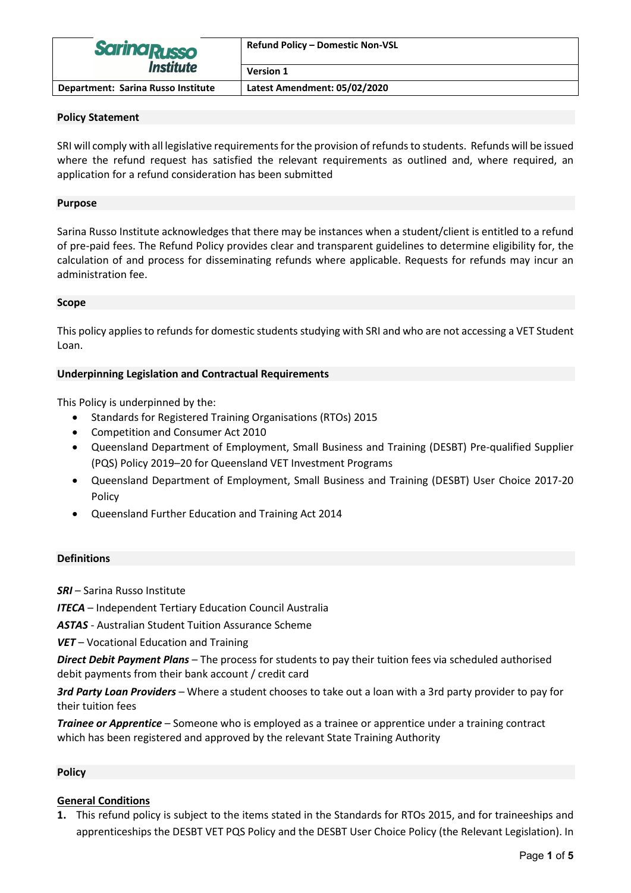| <b>Sarina Russo</b><br><i><b>Institute</b></i> | <b>Refund Policy - Domestic Non-VSL</b> |  |
|------------------------------------------------|-----------------------------------------|--|
|                                                | <b>Version 1</b>                        |  |
| Department: Sarina Russo Institute             | Latest Amendment: 05/02/2020            |  |

#### **Policy Statement**

SRI will comply with all legislative requirements for the provision of refunds to students. Refunds will be issued where the refund request has satisfied the relevant requirements as outlined and, where required, an application for a refund consideration has been submitted

### **Purpose**

Sarina Russo Institute acknowledges that there may be instances when a student/client is entitled to a refund of pre-paid fees. The Refund Policy provides clear and transparent guidelines to determine eligibility for, the calculation of and process for disseminating refunds where applicable. Requests for refunds may incur an administration fee.

#### **Scope**

This policy applies to refunds for domestic students studying with SRI and who are not accessing a VET Student Loan.

### **Underpinning Legislation and Contractual Requirements**

This Policy is underpinned by the:

- Standards for Registered Training Organisations (RTOs) 2015
- Competition and Consumer Act 2010
- Queensland Department of Employment, Small Business and Training (DESBT) Pre-qualified Supplier (PQS) Policy 2019–20 for Queensland VET Investment Programs
- Queensland Department of Employment, Small Business and Training (DESBT) User Choice 2017-20 Policy
- Queensland Further Education and Training Act 2014

#### **Definitions**

*SRI* – Sarina Russo Institute

*ITECA* – Independent Tertiary Education Council Australia

*ASTAS* - Australian Student Tuition Assurance Scheme

*VET* – Vocational Education and Training

*Direct Debit Payment Plans* – The process for students to pay their tuition fees via scheduled authorised debit payments from their bank account / credit card

*3rd Party Loan Providers* – Where a student chooses to take out a loan with a 3rd party provider to pay for their tuition fees

*Trainee or Apprentice* – Someone who is employed as a trainee or apprentice under a training contract which has been registered and approved by the relevant State Training Authority

# **Policy**

# **General Conditions**

**1.** This refund policy is subject to the items stated in the Standards for RTOs 2015, and for traineeships and apprenticeships the DESBT VET PQS Policy and the DESBT User Choice Policy (the Relevant Legislation). In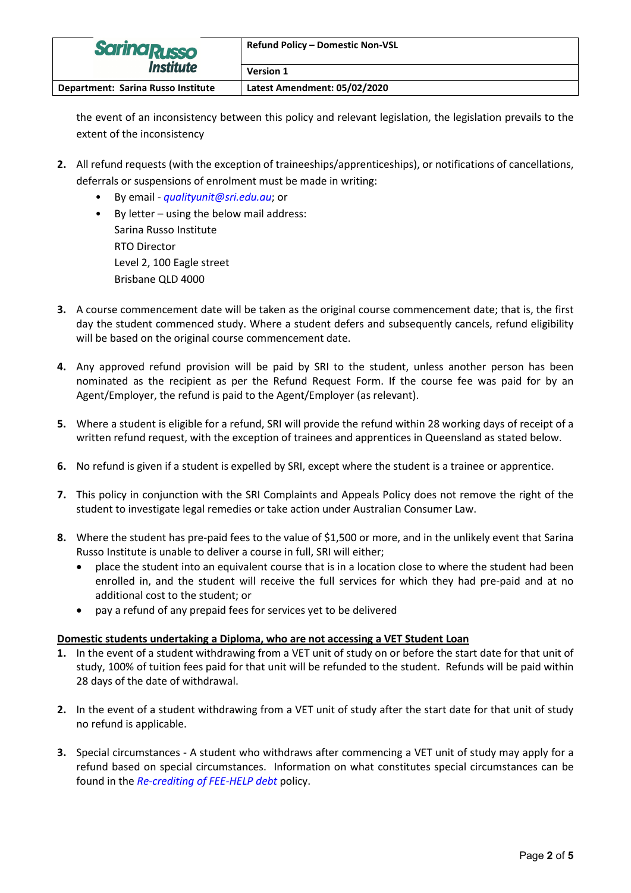| <b>Sarina Russo</b><br><i><b>Institute</b></i> | <b>Refund Policy - Domestic Non-VSL</b> |  |
|------------------------------------------------|-----------------------------------------|--|
|                                                | <b>Version 1</b>                        |  |
| Department: Sarina Russo Institute             | Latest Amendment: 05/02/2020            |  |

the event of an inconsistency between this policy and relevant legislation, the legislation prevails to the extent of the inconsistency

- **2.** All refund requests (with the exception of traineeships/apprenticeships), or notifications of cancellations, deferrals or suspensions of enrolment must be made in writing:
	- By email *[qualityunit@sri.edu.au](mailto:qualityunit@sri.edu.au)*; or
	- By letter using the below mail address: Sarina Russo Institute RTO Director Level 2, 100 Eagle street Brisbane QLD 4000
- **3.** A course commencement date will be taken as the original course commencement date; that is, the first day the student commenced study. Where a student defers and subsequently cancels, refund eligibility will be based on the original course commencement date.
- **4.** Any approved refund provision will be paid by SRI to the student, unless another person has been nominated as the recipient as per the Refund Request Form. If the course fee was paid for by an Agent/Employer, the refund is paid to the Agent/Employer (as relevant).
- **5.** Where a student is eligible for a refund, SRI will provide the refund within 28 working days of receipt of a written refund request, with the exception of trainees and apprentices in Queensland as stated below.
- **6.** No refund is given if a student is expelled by SRI, except where the student is a trainee or apprentice.
- **7.** This policy in conjunction with the SRI Complaints and Appeals Policy does not remove the right of the student to investigate legal remedies or take action under Australian Consumer Law.
- **8.** Where the student has pre-paid fees to the value of \$1,500 or more, and in the unlikely event that Sarina Russo Institute is unable to deliver a course in full, SRI will either;
	- place the student into an equivalent course that is in a location close to where the student had been enrolled in, and the student will receive the full services for which they had pre-paid and at no additional cost to the student; or
	- pay a refund of any prepaid fees for services yet to be delivered

# **Domestic students undertaking a Diploma, who are not accessing a VET Student Loan**

- **1.** In the event of a student withdrawing from a VET unit of study on or before the start date for that unit of study, 100% of tuition fees paid for that unit will be refunded to the student. Refunds will be paid within 28 days of the date of withdrawal.
- **2.** In the event of a student withdrawing from a VET unit of study after the start date for that unit of study no refund is applicable.
- **3.** Special circumstances A student who withdraws after commencing a VET unit of study may apply for a refund based on special circumstances. Information on what constitutes special circumstances can be found in the *[Re-crediting of FEE-HELP debt](https://www.sri.edu.au/about-us/policies-procedures/)* policy.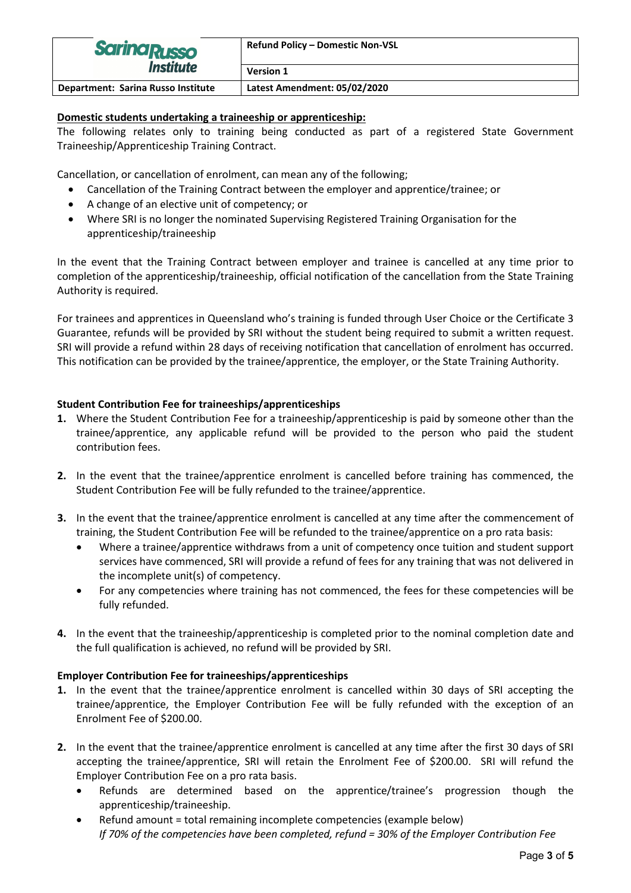| <b>Sarina Russo</b><br><i><b>Institute</b></i> | <b>Refund Policy - Domestic Non-VSL</b> |  |
|------------------------------------------------|-----------------------------------------|--|
|                                                | <b>Version 1</b>                        |  |
| Department: Sarina Russo Institute             | Latest Amendment: 05/02/2020            |  |

### **Domestic students undertaking a traineeship or apprenticeship:**

The following relates only to training being conducted as part of a registered State Government Traineeship/Apprenticeship Training Contract.

Cancellation, or cancellation of enrolment, can mean any of the following;

- Cancellation of the Training Contract between the employer and apprentice/trainee; or
- A change of an elective unit of competency; or
- Where SRI is no longer the nominated Supervising Registered Training Organisation for the apprenticeship/traineeship

In the event that the Training Contract between employer and trainee is cancelled at any time prior to completion of the apprenticeship/traineeship, official notification of the cancellation from the State Training Authority is required.

For trainees and apprentices in Queensland who's training is funded through User Choice or the Certificate 3 Guarantee, refunds will be provided by SRI without the student being required to submit a written request. SRI will provide a refund within 28 days of receiving notification that cancellation of enrolment has occurred. This notification can be provided by the trainee/apprentice, the employer, or the State Training Authority.

### **Student Contribution Fee for traineeships/apprenticeships**

- **1.** Where the Student Contribution Fee for a traineeship/apprenticeship is paid by someone other than the trainee/apprentice, any applicable refund will be provided to the person who paid the student contribution fees.
- **2.** In the event that the trainee/apprentice enrolment is cancelled before training has commenced, the Student Contribution Fee will be fully refunded to the trainee/apprentice.
- **3.** In the event that the trainee/apprentice enrolment is cancelled at any time after the commencement of training, the Student Contribution Fee will be refunded to the trainee/apprentice on a pro rata basis:
	- Where a trainee/apprentice withdraws from a unit of competency once tuition and student support services have commenced, SRI will provide a refund of fees for any training that was not delivered in the incomplete unit(s) of competency.
	- For any competencies where training has not commenced, the fees for these competencies will be fully refunded.
- **4.** In the event that the traineeship/apprenticeship is completed prior to the nominal completion date and the full qualification is achieved, no refund will be provided by SRI.

#### **Employer Contribution Fee for traineeships/apprenticeships**

- **1.** In the event that the trainee/apprentice enrolment is cancelled within 30 days of SRI accepting the trainee/apprentice, the Employer Contribution Fee will be fully refunded with the exception of an Enrolment Fee of \$200.00.
- **2.** In the event that the trainee/apprentice enrolment is cancelled at any time after the first 30 days of SRI accepting the trainee/apprentice, SRI will retain the Enrolment Fee of \$200.00. SRI will refund the Employer Contribution Fee on a pro rata basis.
	- Refunds are determined based on the apprentice/trainee's progression though the apprenticeship/traineeship.
	- Refund amount = total remaining incomplete competencies (example below) *If 70% of the competencies have been completed, refund = 30% of the Employer Contribution Fee*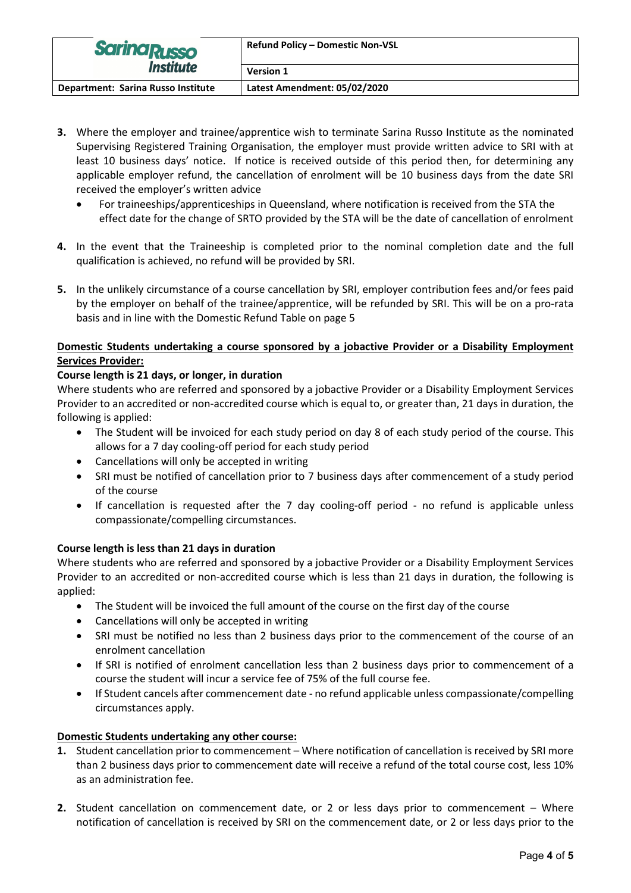| <b>Sarina Russo</b><br><i><b>Institute</b></i> | <b>Refund Policy - Domestic Non-VSL</b> |  |
|------------------------------------------------|-----------------------------------------|--|
|                                                | <b>Version 1</b>                        |  |
| Department: Sarina Russo Institute             | Latest Amendment: 05/02/2020            |  |

- **3.** Where the employer and trainee/apprentice wish to terminate Sarina Russo Institute as the nominated Supervising Registered Training Organisation, the employer must provide written advice to SRI with at least 10 business days' notice. If notice is received outside of this period then, for determining any applicable employer refund, the cancellation of enrolment will be 10 business days from the date SRI received the employer's written advice
	- For traineeships/apprenticeships in Queensland, where notification is received from the STA the effect date for the change of SRTO provided by the STA will be the date of cancellation of enrolment
- **4.** In the event that the Traineeship is completed prior to the nominal completion date and the full qualification is achieved, no refund will be provided by SRI.
- **5.** In the unlikely circumstance of a course cancellation by SRI, employer contribution fees and/or fees paid by the employer on behalf of the trainee/apprentice, will be refunded by SRI. This will be on a pro-rata basis and in line with the Domestic Refund Table on page 5

### **Domestic Students undertaking a course sponsored by a jobactive Provider or a Disability Employment Services Provider:**

# **Course length is 21 days, or longer, in duration**

Where students who are referred and sponsored by a jobactive Provider or a Disability Employment Services Provider to an accredited or non-accredited course which is equal to, or greater than, 21 days in duration, the following is applied:

- The Student will be invoiced for each study period on day 8 of each study period of the course. This allows for a 7 day cooling-off period for each study period
- Cancellations will only be accepted in writing
- SRI must be notified of cancellation prior to 7 business days after commencement of a study period of the course
- If cancellation is requested after the 7 day cooling-off period no refund is applicable unless compassionate/compelling circumstances.

# **Course length is less than 21 days in duration**

Where students who are referred and sponsored by a jobactive Provider or a Disability Employment Services Provider to an accredited or non-accredited course which is less than 21 days in duration, the following is applied:

- The Student will be invoiced the full amount of the course on the first day of the course
- Cancellations will only be accepted in writing
- SRI must be notified no less than 2 business days prior to the commencement of the course of an enrolment cancellation
- If SRI is notified of enrolment cancellation less than 2 business days prior to commencement of a course the student will incur a service fee of 75% of the full course fee.
- If Student cancels after commencement date no refund applicable unless compassionate/compelling circumstances apply.

# **Domestic Students undertaking any other course:**

- **1.** Student cancellation prior to commencement Where notification of cancellation is received by SRI more than 2 business days prior to commencement date will receive a refund of the total course cost, less 10% as an administration fee.
- **2.** Student cancellation on commencement date, or 2 or less days prior to commencement Where notification of cancellation is received by SRI on the commencement date, or 2 or less days prior to the